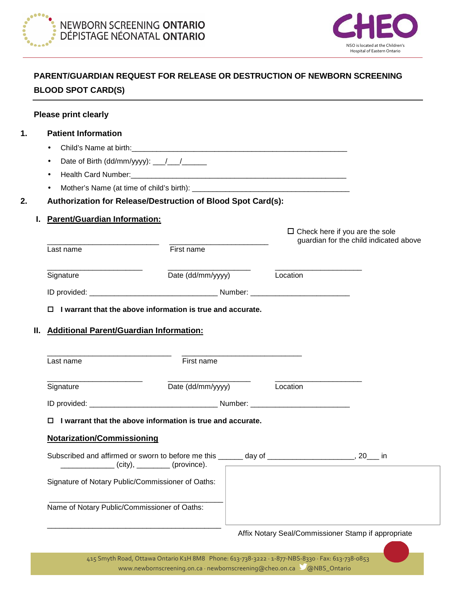



# **PARENT/GUARDIAN REQUEST FOR RELEASE OR DESTRUCTION OF NEWBORN SCREENING BLOOD SPOT CARD(S)**

| 1. | <b>Patient Information</b>                                  |                                                                   |                                                                                                                                                                                                                                                                                                                                                                                                                                                                                 |  |
|----|-------------------------------------------------------------|-------------------------------------------------------------------|---------------------------------------------------------------------------------------------------------------------------------------------------------------------------------------------------------------------------------------------------------------------------------------------------------------------------------------------------------------------------------------------------------------------------------------------------------------------------------|--|
|    | ٠                                                           |                                                                   |                                                                                                                                                                                                                                                                                                                                                                                                                                                                                 |  |
|    | ٠                                                           | Date of Birth (dd/mm/yyyy): __/__/_______                         |                                                                                                                                                                                                                                                                                                                                                                                                                                                                                 |  |
|    | ٠                                                           |                                                                   |                                                                                                                                                                                                                                                                                                                                                                                                                                                                                 |  |
|    |                                                             |                                                                   |                                                                                                                                                                                                                                                                                                                                                                                                                                                                                 |  |
| 2. |                                                             | Authorization for Release/Destruction of Blood Spot Card(s):      |                                                                                                                                                                                                                                                                                                                                                                                                                                                                                 |  |
|    | <b>Parent/Guardian Information:</b>                         |                                                                   |                                                                                                                                                                                                                                                                                                                                                                                                                                                                                 |  |
|    |                                                             |                                                                   | $\Box$ Check here if you are the sole<br>guardian for the child indicated above                                                                                                                                                                                                                                                                                                                                                                                                 |  |
|    | Last name                                                   | First name                                                        |                                                                                                                                                                                                                                                                                                                                                                                                                                                                                 |  |
|    | Signature                                                   | Date (dd/mm/yyyy) Location                                        |                                                                                                                                                                                                                                                                                                                                                                                                                                                                                 |  |
|    |                                                             |                                                                   |                                                                                                                                                                                                                                                                                                                                                                                                                                                                                 |  |
|    |                                                             | $\Box$ I warrant that the above information is true and accurate. |                                                                                                                                                                                                                                                                                                                                                                                                                                                                                 |  |
| Ш. | <b>Additional Parent/Guardian Information:</b><br>Last name | First name                                                        |                                                                                                                                                                                                                                                                                                                                                                                                                                                                                 |  |
|    |                                                             |                                                                   |                                                                                                                                                                                                                                                                                                                                                                                                                                                                                 |  |
|    | Signature                                                   | Date (dd/mm/yyyy)                                                 | $\overline{\phantom{a}}$ $\overline{\phantom{a}}$ $\overline{\phantom{a}}$ $\overline{\phantom{a}}$ $\overline{\phantom{a}}$ $\overline{\phantom{a}}$ $\overline{\phantom{a}}$ $\overline{\phantom{a}}$ $\overline{\phantom{a}}$ $\overline{\phantom{a}}$ $\overline{\phantom{a}}$ $\overline{\phantom{a}}$ $\overline{\phantom{a}}$ $\overline{\phantom{a}}$ $\overline{\phantom{a}}$ $\overline{\phantom{a}}$ $\overline{\phantom{a}}$ $\overline{\phantom{a}}$ $\overline{\$ |  |
|    |                                                             |                                                                   |                                                                                                                                                                                                                                                                                                                                                                                                                                                                                 |  |
|    |                                                             | $\Box$ I warrant that the above information is true and accurate. |                                                                                                                                                                                                                                                                                                                                                                                                                                                                                 |  |
|    | <b>Notarization/Commissioning</b>                           |                                                                   |                                                                                                                                                                                                                                                                                                                                                                                                                                                                                 |  |
|    |                                                             | $\lfloor$ (city), $\lfloor$ (province).                           |                                                                                                                                                                                                                                                                                                                                                                                                                                                                                 |  |
|    | Signature of Notary Public/Commissioner of Oaths:           |                                                                   |                                                                                                                                                                                                                                                                                                                                                                                                                                                                                 |  |

# Affix Notary Seal/Commissioner Stamp if appropriate

\_\_\_\_\_\_\_\_\_\_\_\_\_\_\_\_\_\_\_\_\_\_\_\_\_\_\_\_\_\_\_\_\_\_\_\_\_\_\_\_\_\_